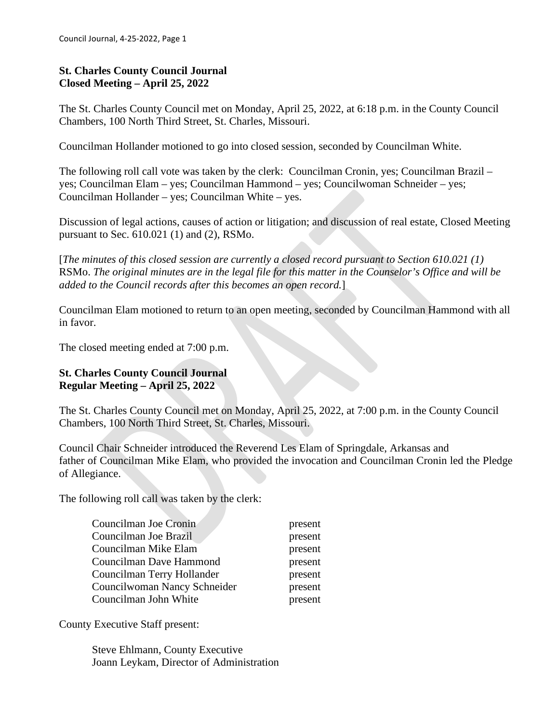# **St. Charles County Council Journal Closed Meeting – April 25, 2022**

The St. Charles County Council met on Monday, April 25, 2022, at 6:18 p.m. in the County Council Chambers, 100 North Third Street, St. Charles, Missouri.

Councilman Hollander motioned to go into closed session, seconded by Councilman White.

The following roll call vote was taken by the clerk: Councilman Cronin, yes; Councilman Brazil – yes; Councilman Elam – yes; Councilman Hammond – yes; Councilwoman Schneider – yes; Councilman Hollander – yes; Councilman White – yes.

Discussion of legal actions, causes of action or litigation; and discussion of real estate, Closed Meeting pursuant to Sec. 610.021 (1) and (2), RSMo.

[*The minutes of this closed session are currently a closed record pursuant to Section 610.021 (1)* RSMo. *The original minutes are in the legal file for this matter in the Counselor's Office and will be added to the Council records after this becomes an open record.*]

Councilman Elam motioned to return to an open meeting, seconded by Councilman Hammond with all in favor.

The closed meeting ended at 7:00 p.m.

### **St. Charles County Council Journal Regular Meeting – April 25, 2022**

The St. Charles County Council met on Monday, April 25, 2022, at 7:00 p.m. in the County Council Chambers, 100 North Third Street, St. Charles, Missouri.

Council Chair Schneider introduced the Reverend Les Elam of Springdale, Arkansas and father of Councilman Mike Elam, who provided the invocation and Councilman Cronin led the Pledge of Allegiance.

The following roll call was taken by the clerk:

| Councilman Joe Cronin        | present |
|------------------------------|---------|
| Councilman Joe Brazil        | present |
| Councilman Mike Elam         | present |
| Councilman Dave Hammond      | present |
| Councilman Terry Hollander   | present |
| Councilwoman Nancy Schneider | present |
| Councilman John White        | present |

County Executive Staff present:

Steve Ehlmann, County Executive Joann Leykam, Director of Administration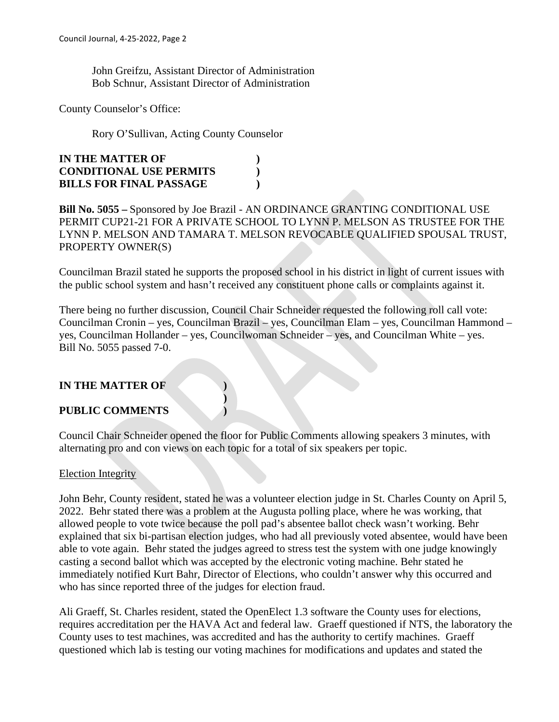John Greifzu, Assistant Director of Administration Bob Schnur, Assistant Director of Administration

County Counselor's Office:

Rory O'Sullivan, Acting County Counselor

| <b>IN THE MATTER OF</b>        |  |
|--------------------------------|--|
| <b>CONDITIONAL USE PERMITS</b> |  |
| <b>BILLS FOR FINAL PASSAGE</b> |  |

**Bill No. 5055 –** Sponsored by Joe Brazil - AN ORDINANCE GRANTING CONDITIONAL USE PERMIT CUP21-21 FOR A PRIVATE SCHOOL TO LYNN P. MELSON AS TRUSTEE FOR THE LYNN P. MELSON AND TAMARA T. MELSON REVOCABLE QUALIFIED SPOUSAL TRUST, PROPERTY OWNER(S)

Councilman Brazil stated he supports the proposed school in his district in light of current issues with the public school system and hasn't received any constituent phone calls or complaints against it.

There being no further discussion, Council Chair Schneider requested the following roll call vote: Councilman Cronin – yes, Councilman Brazil – yes, Councilman Elam – yes, Councilman Hammond – yes, Councilman Hollander – yes, Councilwoman Schneider – yes, and Councilman White – yes. Bill No. 5055 passed 7-0.

### **IN THE MATTER OF )**

### **PUBLIC COMMENTS )**

Council Chair Schneider opened the floor for Public Comments allowing speakers 3 minutes, with alternating pro and con views on each topic for a total of six speakers per topic.

**)**

### Election Integrity

John Behr, County resident, stated he was a volunteer election judge in St. Charles County on April 5, 2022. Behr stated there was a problem at the Augusta polling place, where he was working, that allowed people to vote twice because the poll pad's absentee ballot check wasn't working. Behr explained that six bi-partisan election judges, who had all previously voted absentee, would have been able to vote again. Behr stated the judges agreed to stress test the system with one judge knowingly casting a second ballot which was accepted by the electronic voting machine. Behr stated he immediately notified Kurt Bahr, Director of Elections, who couldn't answer why this occurred and who has since reported three of the judges for election fraud.

Ali Graeff, St. Charles resident, stated the OpenElect 1.3 software the County uses for elections, requires accreditation per the HAVA Act and federal law. Graeff questioned if NTS, the laboratory the County uses to test machines, was accredited and has the authority to certify machines. Graeff questioned which lab is testing our voting machines for modifications and updates and stated the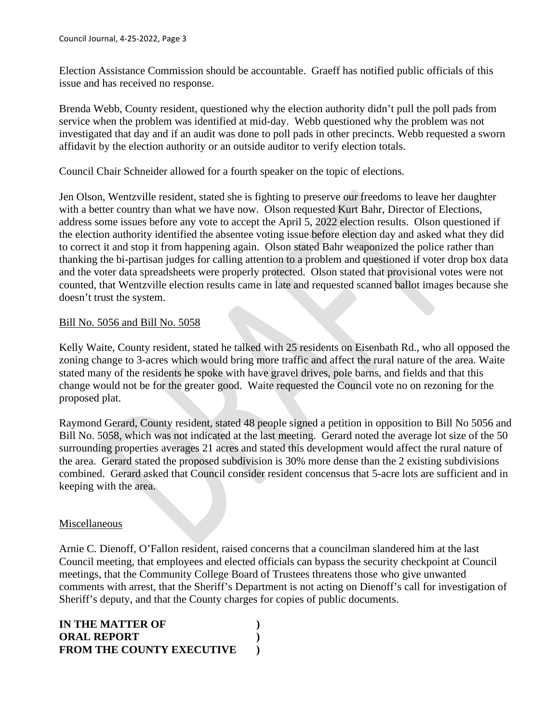Election Assistance Commission should be accountable. Graeff has notified public officials of this issue and has received no response.

Brenda Webb, County resident, questioned why the election authority didn't pull the poll pads from service when the problem was identified at mid-day. Webb questioned why the problem was not investigated that day and if an audit was done to poll pads in other precincts. Webb requested a sworn affidavit by the election authority or an outside auditor to verify election totals.

Council Chair Schneider allowed for a fourth speaker on the topic of elections.

Jen Olson, Wentzville resident, stated she is fighting to preserve our freedoms to leave her daughter with a better country than what we have now. Olson requested Kurt Bahr, Director of Elections, address some issues before any vote to accept the April 5, 2022 election results. Olson questioned if the election authority identified the absentee voting issue before election day and asked what they did to correct it and stop it from happening again. Olson stated Bahr weaponized the police rather than thanking the bi-partisan judges for calling attention to a problem and questioned if voter drop box data and the voter data spreadsheets were properly protected. Olson stated that provisional votes were not counted, that Wentzville election results came in late and requested scanned ballot images because she doesn't trust the system.

#### Bill No. 5056 and Bill No. 5058

Kelly Waite, County resident, stated he talked with 25 residents on Eisenbath Rd., who all opposed the zoning change to 3-acres which would bring more traffic and affect the rural nature of the area. Waite stated many of the residents he spoke with have gravel drives, pole barns, and fields and that this change would not be for the greater good. Waite requested the Council vote no on rezoning for the proposed plat.

Raymond Gerard, County resident, stated 48 people signed a petition in opposition to Bill No 5056 and Bill No. 5058, which was not indicated at the last meeting. Gerard noted the average lot size of the 50 surrounding properties averages 21 acres and stated this development would affect the rural nature of the area. Gerard stated the proposed subdivision is 30% more dense than the 2 existing subdivisions combined. Gerard asked that Council consider resident concensus that 5-acre lots are sufficient and in keeping with the area.

### Miscellaneous

Arnie C. Dienoff, O'Fallon resident, raised concerns that a councilman slandered him at the last Council meeting, that employees and elected officials can bypass the security checkpoint at Council meetings, that the Community College Board of Trustees threatens those who give unwanted comments with arrest, that the Sheriff's Department is not acting on Dienoff's call for investigation of Sheriff's deputy, and that the County charges for copies of public documents.

| <b>IN THE MATTER OF</b>          |  |
|----------------------------------|--|
| <b>ORAL REPORT</b>               |  |
| <b>FROM THE COUNTY EXECUTIVE</b> |  |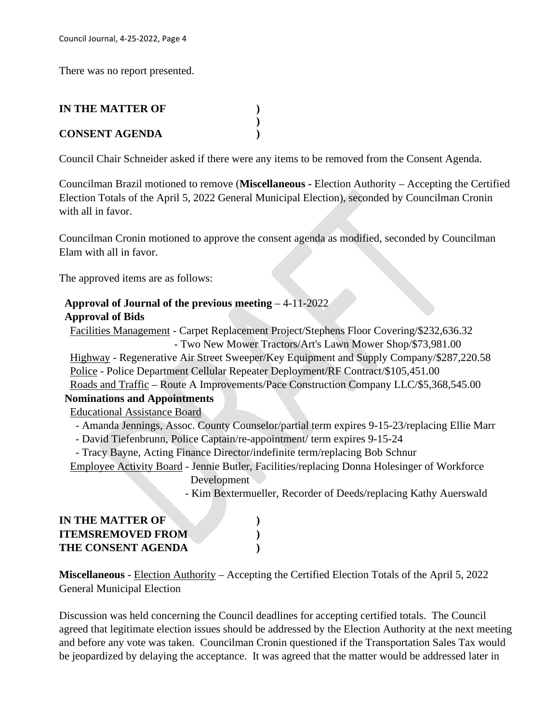There was no report presented.

# **IN THE MATTER OF )**

# **CONSENT AGENDA )**

Council Chair Schneider asked if there were any items to be removed from the Consent Agenda.

**)**

Councilman Brazil motioned to remove (**Miscellaneous -** Election Authority – Accepting the Certified Election Totals of the April 5, 2022 General Municipal Election), seconded by Councilman Cronin with all in favor.

Councilman Cronin motioned to approve the consent agenda as modified, seconded by Councilman Elam with all in favor.

The approved items are as follows:

# **Approval of Journal of the previous meeting** – 4-11-2022 **Approval of Bids**

 Facilities Management - Carpet Replacement Project/Stephens Floor Covering/\$232,636.32 - Two New Mower Tractors/Art's Lawn Mower Shop/\$73,981.00 Highway - Regenerative Air Street Sweeper/Key Equipment and Supply Company/\$287,220.58

Police - Police Department Cellular Repeater Deployment/RF Contract/\$105,451.00

Roads and Traffic – Route A Improvements/Pace Construction Company LLC/\$5,368,545.00

# **Nominations and Appointments**

Educational Assistance Board

- Amanda Jennings, Assoc. County Counselor/partial term expires 9-15-23/replacing Ellie Marr

- David Tiefenbrunn, Police Captain/re-appointment/ term expires 9-15-24
- Tracy Bayne, Acting Finance Director/indefinite term/replacing Bob Schnur

 Employee Activity Board - Jennie Butler, Facilities/replacing Donna Holesinger of Workforce Development

- Kim Bextermueller, Recorder of Deeds/replacing Kathy Auerswald

| IN THE MATTER OF          |  |
|---------------------------|--|
| <b>ITEMSREMOVED FROM</b>  |  |
| <b>THE CONSENT AGENDA</b> |  |

**Miscellaneous -** Election Authority – Accepting the Certified Election Totals of the April 5, 2022 General Municipal Election

Discussion was held concerning the Council deadlines for accepting certified totals. The Council agreed that legitimate election issues should be addressed by the Election Authority at the next meeting and before any vote was taken. Councilman Cronin questioned if the Transportation Sales Tax would be jeopardized by delaying the acceptance. It was agreed that the matter would be addressed later in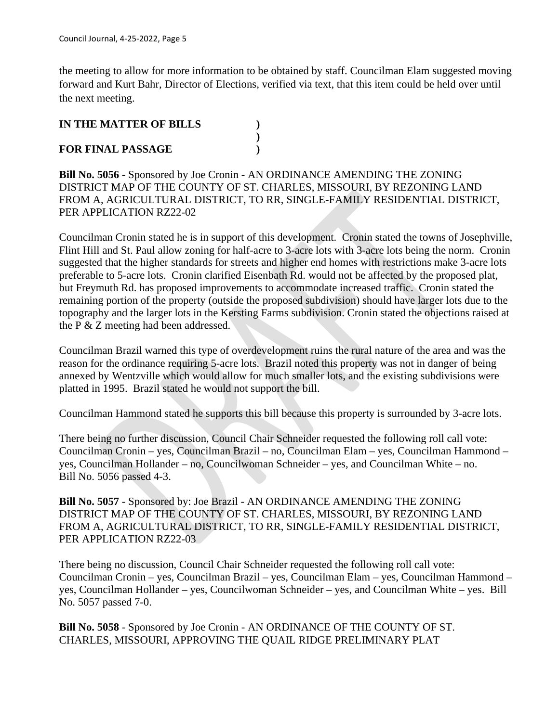the meeting to allow for more information to be obtained by staff. Councilman Elam suggested moving forward and Kurt Bahr, Director of Elections, verified via text, that this item could be held over until the next meeting.

## **IN THE MATTER OF BILLS )**

### **FOR FINAL PASSAGE )**

**Bill No. 5056** - Sponsored by Joe Cronin - AN ORDINANCE AMENDING THE ZONING DISTRICT MAP OF THE COUNTY OF ST. CHARLES, MISSOURI, BY REZONING LAND FROM A, AGRICULTURAL DISTRICT, TO RR, SINGLE-FAMILY RESIDENTIAL DISTRICT, PER APPLICATION RZ22-02

**)**

Councilman Cronin stated he is in support of this development. Cronin stated the towns of Josephville, Flint Hill and St. Paul allow zoning for half-acre to 3-acre lots with 3-acre lots being the norm. Cronin suggested that the higher standards for streets and higher end homes with restrictions make 3-acre lots preferable to 5-acre lots. Cronin clarified Eisenbath Rd. would not be affected by the proposed plat, but Freymuth Rd. has proposed improvements to accommodate increased traffic. Cronin stated the remaining portion of the property (outside the proposed subdivision) should have larger lots due to the topography and the larger lots in the Kersting Farms subdivision. Cronin stated the objections raised at the P & Z meeting had been addressed.

Councilman Brazil warned this type of overdevelopment ruins the rural nature of the area and was the reason for the ordinance requiring 5-acre lots. Brazil noted this property was not in danger of being annexed by Wentzville which would allow for much smaller lots, and the existing subdivisions were platted in 1995. Brazil stated he would not support the bill.

Councilman Hammond stated he supports this bill because this property is surrounded by 3-acre lots.

There being no further discussion, Council Chair Schneider requested the following roll call vote: Councilman Cronin – yes, Councilman Brazil – no, Councilman Elam – yes, Councilman Hammond – yes, Councilman Hollander – no, Councilwoman Schneider – yes, and Councilman White – no. Bill No. 5056 passed 4-3.

**Bill No. 5057** - Sponsored by: Joe Brazil - AN ORDINANCE AMENDING THE ZONING DISTRICT MAP OF THE COUNTY OF ST. CHARLES, MISSOURI, BY REZONING LAND FROM A, AGRICULTURAL DISTRICT, TO RR, SINGLE-FAMILY RESIDENTIAL DISTRICT, PER APPLICATION RZ22-03

There being no discussion, Council Chair Schneider requested the following roll call vote: Councilman Cronin – yes, Councilman Brazil – yes, Councilman Elam – yes, Councilman Hammond – yes, Councilman Hollander – yes, Councilwoman Schneider – yes, and Councilman White – yes. Bill No. 5057 passed 7-0.

**Bill No. 5058** - Sponsored by Joe Cronin - AN ORDINANCE OF THE COUNTY OF ST. CHARLES, MISSOURI, APPROVING THE QUAIL RIDGE PRELIMINARY PLAT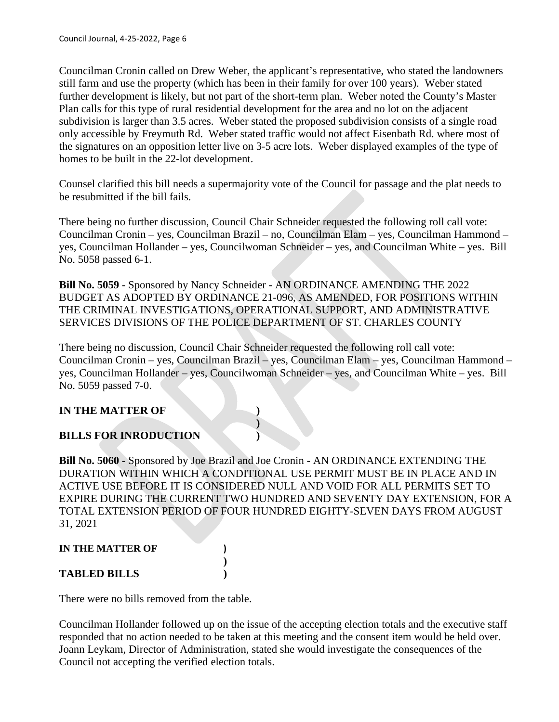Councilman Cronin called on Drew Weber, the applicant's representative, who stated the landowners still farm and use the property (which has been in their family for over 100 years). Weber stated further development is likely, but not part of the short-term plan. Weber noted the County's Master Plan calls for this type of rural residential development for the area and no lot on the adjacent subdivision is larger than 3.5 acres. Weber stated the proposed subdivision consists of a single road only accessible by Freymuth Rd. Weber stated traffic would not affect Eisenbath Rd. where most of the signatures on an opposition letter live on 3-5 acre lots. Weber displayed examples of the type of homes to be built in the 22-lot development.

Counsel clarified this bill needs a supermajority vote of the Council for passage and the plat needs to be resubmitted if the bill fails.

There being no further discussion, Council Chair Schneider requested the following roll call vote: Councilman Cronin – yes, Councilman Brazil – no, Councilman Elam – yes, Councilman Hammond – yes, Councilman Hollander – yes, Councilwoman Schneider – yes, and Councilman White – yes. Bill No. 5058 passed 6-1.

**Bill No. 5059** - Sponsored by Nancy Schneider - AN ORDINANCE AMENDING THE 2022 BUDGET AS ADOPTED BY ORDINANCE 21-096, AS AMENDED, FOR POSITIONS WITHIN THE CRIMINAL INVESTIGATIONS, OPERATIONAL SUPPORT, AND ADMINISTRATIVE SERVICES DIVISIONS OF THE POLICE DEPARTMENT OF ST. CHARLES COUNTY

There being no discussion, Council Chair Schneider requested the following roll call vote: Councilman Cronin – yes, Councilman Brazil – yes, Councilman Elam – yes, Councilman Hammond – yes, Councilman Hollander – yes, Councilwoman Schneider – yes, and Councilman White – yes. Bill No. 5059 passed 7-0.

**)**

**)**

# **IN THE MATTER OF )**

### **BILLS FOR INRODUCTION )**

**Bill No. 5060** - Sponsored by Joe Brazil and Joe Cronin - AN ORDINANCE EXTENDING THE DURATION WITHIN WHICH A CONDITIONAL USE PERMIT MUST BE IN PLACE AND IN ACTIVE USE BEFORE IT IS CONSIDERED NULL AND VOID FOR ALL PERMITS SET TO EXPIRE DURING THE CURRENT TWO HUNDRED AND SEVENTY DAY EXTENSION, FOR A TOTAL EXTENSION PERIOD OF FOUR HUNDRED EIGHTY-SEVEN DAYS FROM AUGUST 31, 2021

# **IN THE MATTER OF )**

### **TABLED BILLS )**

There were no bills removed from the table.

Councilman Hollander followed up on the issue of the accepting election totals and the executive staff responded that no action needed to be taken at this meeting and the consent item would be held over. Joann Leykam, Director of Administration, stated she would investigate the consequences of the Council not accepting the verified election totals.